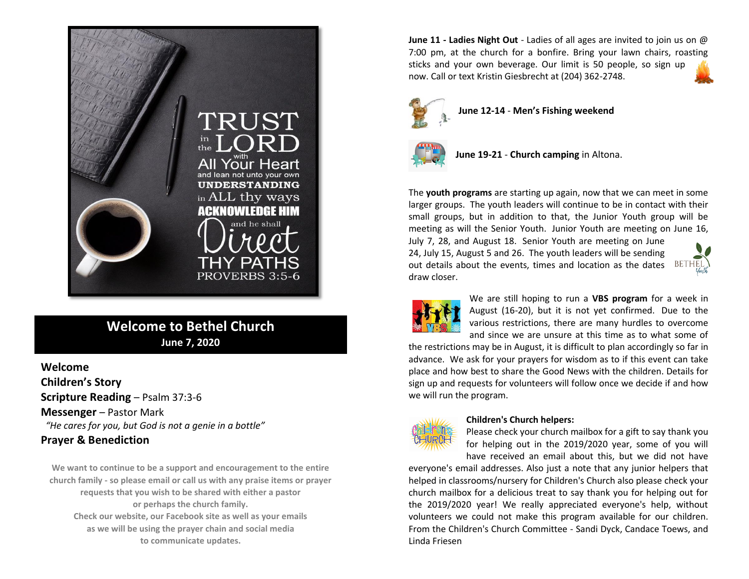

## **Welcome to Bethel Church June 7, 2020**

## **Welcome Children's Story Scripture Reading** – Psalm 37:3-6 **Messenger** – Pastor Mark *"He cares for you, but God is not a genie in a bottle"* **Prayer & Benediction**

**We want to continue to be a support and encouragement to the entire church family - so please email or call us with any praise items or prayer requests that you wish to be shared with either a pastor or perhaps the church family. Check our website, our Facebook site as well as your emails as we will be using the prayer chain and social media to communicate updates.**

**June 11 - Ladies Night Out** - Ladies of all ages are invited to join us on @ 7:00 pm, at the church for a bonfire. Bring your lawn chairs, roasting sticks and your own beverage. Our limit is 50 people, so sign up now. Call or text Kristin Giesbrecht at (204) 362-2748.



**June 12-14** - **Men's Fishing weekend**



**June 19-21** - **Church camping** in Altona.

The **youth programs** are starting up again, now that we can meet in some larger groups. The youth leaders will continue to be in contact with their small groups, but in addition to that, the Junior Youth group will be meeting as will the Senior Youth. Junior Youth are meeting on June 16,

July 7, 28, and August 18. Senior Youth are meeting on June 24, July 15, August 5 and 26. The youth leaders will be sending out details about the events, times and location as the dates  $BETHEL$ draw closer.





We are still hoping to run a **VBS program** for a week in August (16-20), but it is not yet confirmed. Due to the various restrictions, there are many hurdles to overcome and since we are unsure at this time as to what some of

the restrictions may be in August, it is difficult to plan accordingly so far in advance. We ask for your prayers for wisdom as to if this event can take place and how best to share the Good News with the children. Details for sign up and requests for volunteers will follow once we decide if and how we will run the program.



#### **Children's Church helpers:**

Please check your church mailbox for a gift to say thank you for helping out in the 2019/2020 year, some of you will have received an email about this, but we did not have

everyone's email addresses. Also just a note that any junior helpers that helped in classrooms/nursery for Children's Church also please check your church mailbox for a delicious treat to say thank you for helping out for the 2019/2020 year! We really appreciated everyone's help, without volunteers we could not make this program available for our children. From the Children's Church Committee - Sandi Dyck, Candace Toews, and Linda Friesen